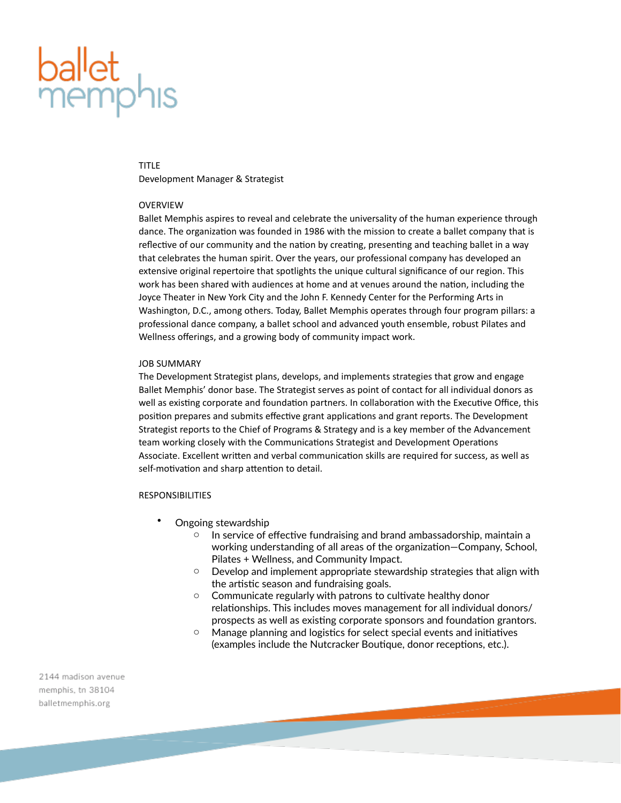# **ballet**<br>memph

#### TITLE

Development Manager & Strategist

## OVERVIEW

Ballet Memphis aspires to reveal and celebrate the universality of the human experience through dance. The organization was founded in 1986 with the mission to create a ballet company that is reflective of our community and the nation by creating, presenting and teaching ballet in a way that celebrates the human spirit. Over the years, our professional company has developed an extensive original repertoire that spotlights the unique cultural significance of our region. This work has been shared with audiences at home and at venues around the nation, including the Joyce Theater in New York City and the John F. Kennedy Center for the Performing Arts in Washington, D.C., among others. Today, Ballet Memphis operates through four program pillars: a professional dance company, a ballet school and advanced youth ensemble, robust Pilates and Wellness offerings, and a growing body of community impact work.

#### JOB SUMMARY

The Development Strategist plans, develops, and implements strategies that grow and engage Ballet Memphis' donor base. The Strategist serves as point of contact for all individual donors as well as existing corporate and foundation partners. In collaboration with the Executive Office, this position prepares and submits effective grant applications and grant reports. The Development Strategist reports to the Chief of Programs & Strategy and is a key member of the Advancement team working closely with the Communications Strategist and Development Operations Associate. Excellent written and verbal communication skills are required for success, as well as self-motivation and sharp attention to detail.

## RESPONSIBILITIES

- Ongoing stewardship
	- $\circ$  In service of effective fundraising and brand ambassadorship, maintain a working understanding of all areas of the organization—Company, School, Pilates + Wellness, and Community Impact.
	- o Develop and implement appropriate stewardship strategies that align with the artistic season and fundraising goals.
	- o Communicate regularly with patrons to cultivate healthy donor relationships. This includes moves management for all individual donors/ prospects as well as existing corporate sponsors and foundation grantors.
	- o Manage planning and logistics for select special events and initiatives (examples include the Nutcracker Boutique, donor receptions, etc.).

2144 madison avenue memphis, tn 38104 balletmemphis.org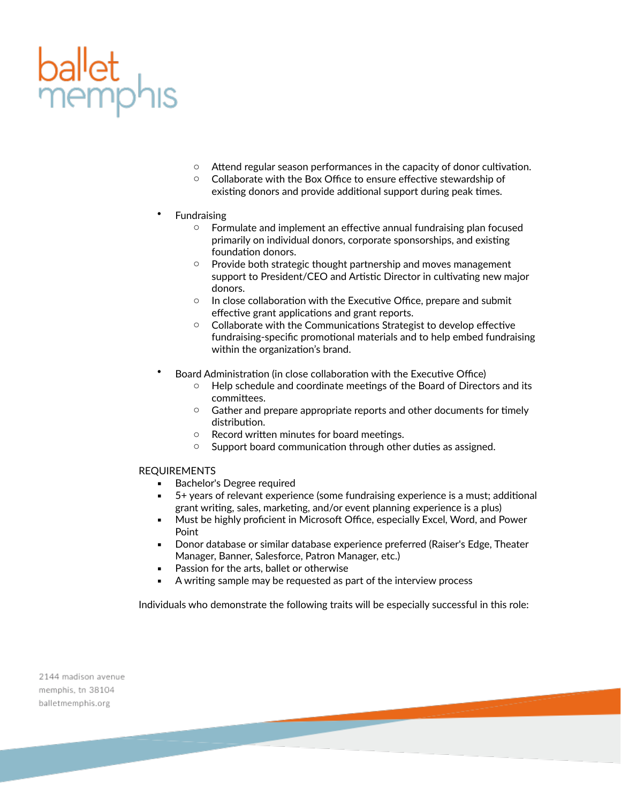

- o Attend regular season performances in the capacity of donor cultivation.
- o Collaborate with the Box Office to ensure effective stewardship of existing donors and provide additional support during peak times.
- **Fundraising** 
	- o Formulate and implement an effective annual fundraising plan focused primarily on individual donors, corporate sponsorships, and existing foundation donors.
	- o Provide both strategic thought partnership and moves management support to President/CEO and Artistic Director in cultivating new major donors.
	- o In close collaboration with the Executive Office, prepare and submit effective grant applications and grant reports.
	- o Collaborate with the Communications Strategist to develop effective fundraising-specific promotional materials and to help embed fundraising within the organization's brand.
- Board Administration (in close collaboration with the Executive Office)
	- o Help schedule and coordinate meetings of the Board of Directors and its committees.
	- o Gather and prepare appropriate reports and other documents for timely distribution.
	- o Record written minutes for board meetings.
	- o Support board communication through other duties as assigned.

# REQUIREMENTS

- Bachelor's Degree required
- 5+ years of relevant experience (some fundraising experience is a must; additional grant writing, sales, marketing, and/or event planning experience is a plus)
- **■** Must be highly proficient in Microsoft Office, especially Excel, Word, and Power Point
- **Donor database or similar database experience preferred (Raiser's Edge, Theater** Manager, Banner, Salesforce, Patron Manager, etc.)
- Passion for the arts, ballet or otherwise
- A writing sample may be requested as part of the interview process

Individuals who demonstrate the following traits will be especially successful in this role:

2144 madison avenue memphis, tn 38104 balletmemphis.org